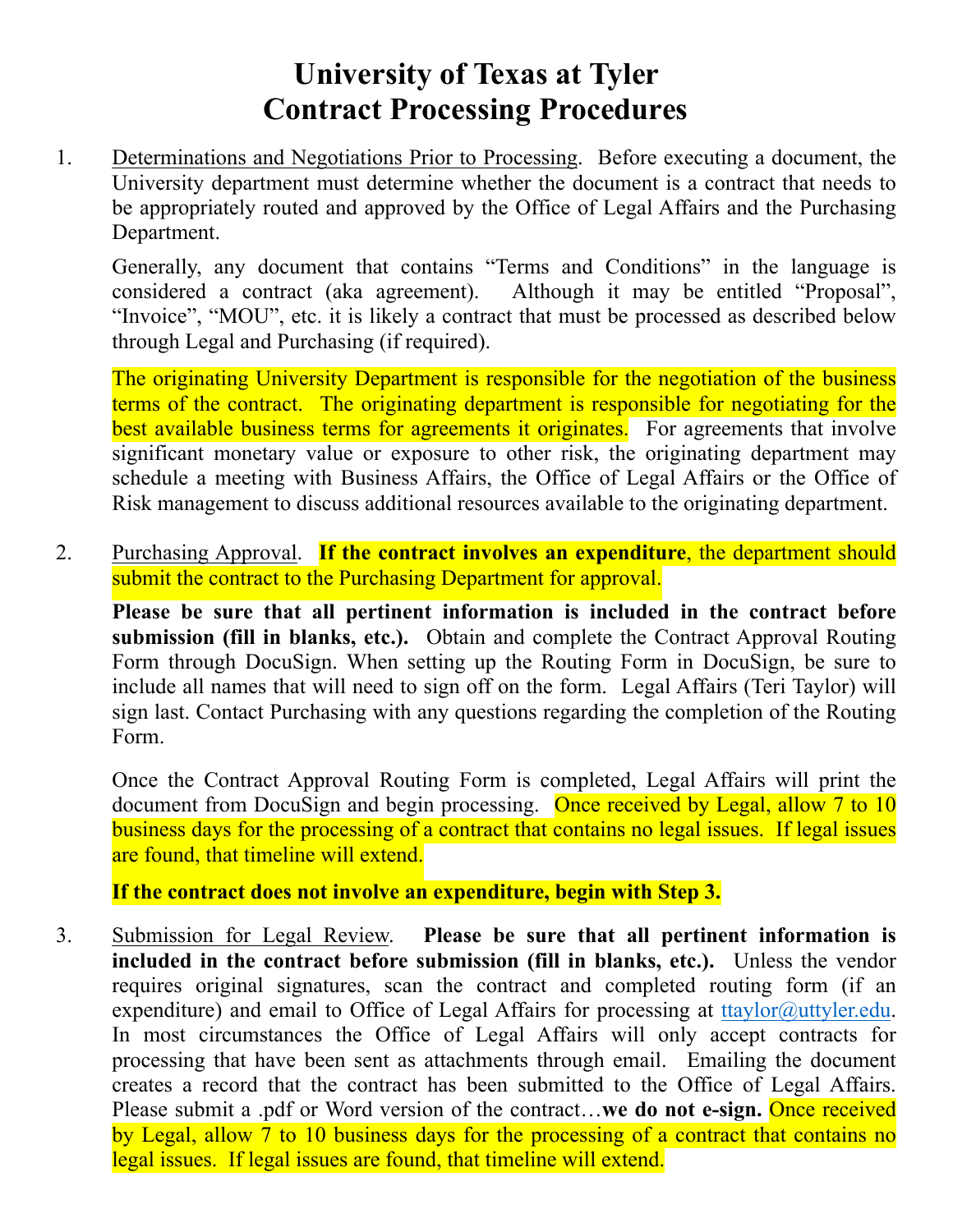## **University of Texas at Tyler Contract Processing Procedures**

1. Determinations and Negotiations Prior to Processing. Before executing a document, the University department must determine whether the document is a contract that needs to be appropriately routed and approved by the Office of Legal Affairs and the Purchasing Department.

Generally, any document that contains "Terms and Conditions" in the language is considered a contract (aka agreement). Although it may be entitled "Proposal", "Invoice", "MOU", etc. it is likely a contract that must be processed as described below through Legal and Purchasing (if required).

The originating University Department is responsible for the negotiation of the business terms of the contract. The originating department is responsible for negotiating for the best available business terms for agreements it originates. For agreements that involve significant monetary value or exposure to other risk, the originating department may schedule a meeting with Business Affairs, the Office of Legal Affairs or the Office of Risk management to discuss additional resources available to the originating department.

2. Purchasing Approval. **If the contract involves an expenditure**, the department should submit the contract to the Purchasing Department for approval.

**Please be sure that all pertinent information is included in the contract before submission (fill in blanks, etc.).** Obtain and complete the Contract Approval Routing Form through DocuSign. When setting up the Routing Form in DocuSign, be sure to include all names that will need to sign off on the form. Legal Affairs (Teri Taylor) will sign last. Contact Purchasing with any questions regarding the completion of the Routing Form.

Once the Contract Approval Routing Form is completed, Legal Affairs will print the document from DocuSign and begin processing.Once received by Legal, allow 7 to 10 business days for the processing of a contract that contains no legal issues. If legal issues are found, that timeline will extend.

**If the contract does not involve an expenditure, begin with Step 3.**

3. Submission for Legal Review. **Please be sure that all pertinent information is included in the contract before submission (fill in blanks, etc.).** Unless the vendor requires original signatures, scan the contract and completed routing form (if an expenditure) and email to Office of Legal Affairs for processing at ttaylor  $\omega$ uttyler.edu. In most circumstances the Office of Legal Affairs will only accept contracts for processing that have been sent as attachments through email. Emailing the document creates a record that the contract has been submitted to the Office of Legal Affairs. Please submit a .pdf or Word version of the contract...we **do not e-sign.** Once received by Legal, allow 7 to 10 business days for the processing of a contract that contains no legal issues. If legal issues are found, that timeline will extend.